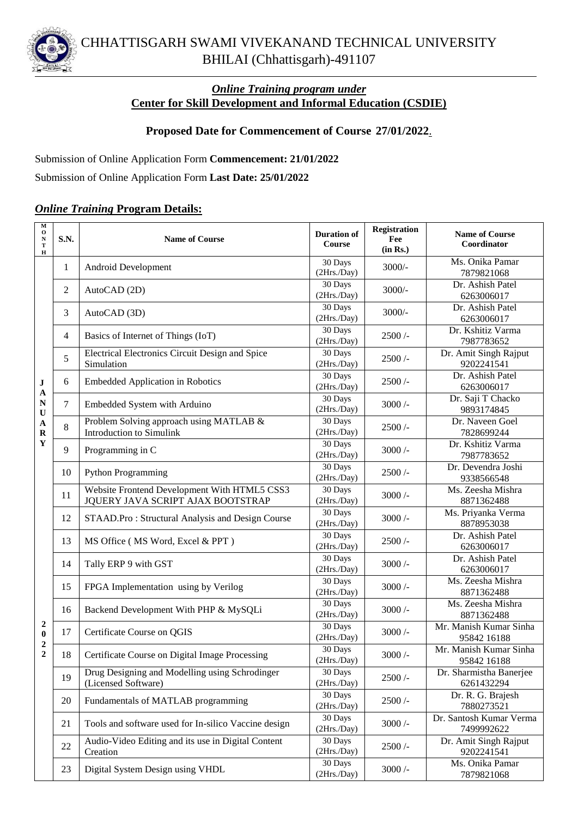

## *Online Training program under* **Center for Skill Development and Informal Education (CSDIE)**

## **Proposed Date for Commencement of Course 27/01/2022**.

Submission of Online Application Form **Commencement: 21/01/2022**

Submission of Online Application Form **Last Date: 25/01/2022**

## *Online Training* **Program Details:**

| $\overline{\textbf{M}}$<br>$\mathbf{o}$<br>$\mathbf N$<br>$\mathbf T$<br>$\, {\bf H}$ | S.N. | <b>Name of Course</b>                                                             | <b>Duration of</b><br>Course | <b>Registration</b><br>Fee<br>(in Rs.) | <b>Name of Course</b><br>Coordinator  |
|---------------------------------------------------------------------------------------|------|-----------------------------------------------------------------------------------|------------------------------|----------------------------------------|---------------------------------------|
| $\bf J$<br>$\mathbf A$<br>N<br>$\mathbf U$<br>$\mathbf A$<br>$\mathbf R$<br>Y         | 1    | Android Development                                                               | 30 Days<br>(2Hrs./Day)       | $3000/-$                               | Ms. Onika Pamar<br>7879821068         |
|                                                                                       | 2    | AutoCAD (2D)                                                                      | 30 Days<br>(2Hrs./Day)       | $3000/-$                               | Dr. Ashish Patel<br>6263006017        |
|                                                                                       | 3    | AutoCAD (3D)                                                                      | 30 Days<br>(2Hrs./Day)       | $3000/-$                               | Dr. Ashish Patel<br>6263006017        |
|                                                                                       | 4    | Basics of Internet of Things (IoT)                                                | 30 Days<br>(2Hrs./Day)       | $2500/$ -                              | Dr. Kshitiz Varma<br>7987783652       |
|                                                                                       | 5    | Electrical Electronics Circuit Design and Spice<br>Simulation                     | 30 Days<br>(2Hrs/Day)        | $2500/$ -                              | Dr. Amit Singh Rajput<br>9202241541   |
|                                                                                       | 6    | <b>Embedded Application in Robotics</b>                                           | 30 Days<br>(2Hrs./Day)       | $2500/$ -                              | Dr. Ashish Patel<br>6263006017        |
|                                                                                       | 7    | Embedded System with Arduino                                                      | 30 Days<br>(2Hrs./Day)       | $3000/-$                               | Dr. Saji T Chacko<br>9893174845       |
|                                                                                       | 8    | Problem Solving approach using MATLAB &<br>Introduction to Simulink               | 30 Days<br>(2Hrs./Day)       | 2500/                                  | Dr. Naveen Goel<br>7828699244         |
|                                                                                       | 9    | Programming in C                                                                  | 30 Days<br>(2Hrs./Day)       | $3000/-$                               | Dr. Kshitiz Varma<br>7987783652       |
|                                                                                       | 10   | <b>Python Programming</b>                                                         | 30 Days<br>(2Hrs./Day)       | $2500/$ -                              | Dr. Devendra Joshi<br>9338566548      |
|                                                                                       | 11   | Website Frontend Development With HTML5 CSS3<br>JQUERY JAVA SCRIPT AJAX BOOTSTRAP | 30 Days<br>(2Hrs./Day)       | $3000/-$                               | Ms. Zeesha Mishra<br>8871362488       |
|                                                                                       | 12   | STAAD.Pro: Structural Analysis and Design Course                                  | 30 Days<br>(2Hrs./Day)       | $3000/-$                               | Ms. Priyanka Verma<br>8878953038      |
| 2<br>$\bf{0}$<br>$\boldsymbol{2}$<br>$\boldsymbol{2}$                                 | 13   | MS Office (MS Word, Excel & PPT)                                                  | 30 Days<br>(2Hrs./Day)       | 2500/                                  | Dr. Ashish Patel<br>6263006017        |
|                                                                                       | 14   | Tally ERP 9 with GST                                                              | 30 Days<br>(2Hrs./Day)       | $3000/-$                               | Dr. Ashish Patel<br>6263006017        |
|                                                                                       | 15   | FPGA Implementation using by Verilog                                              | 30 Days<br>(2Hrs./Day)       | $3000/-$                               | Ms. Zeesha Mishra<br>8871362488       |
|                                                                                       | 16   | Backend Development With PHP & MySQLi                                             | 30 Days<br>(2Hrs./Day)       | $3000/-$                               | Ms. Zeesha Mishra<br>8871362488       |
|                                                                                       | 17   | Certificate Course on QGIS                                                        | 30 Days<br>(2Hrs./Day)       | $3000/-$                               | Mr. Manish Kumar Sinha<br>95842 16188 |
|                                                                                       | 18   | Certificate Course on Digital Image Processing                                    | 30 Days<br>(2Hrs.Day)        | $3000/-$                               | Mr. Manish Kumar Sinha<br>95842 16188 |
|                                                                                       | 19   | Drug Designing and Modelling using Schrodinger<br>(Licensed Software)             | 30 Days<br>(2Hrs./Day)       | $2500/$ -                              | Dr. Sharmistha Banerjee<br>6261432294 |
|                                                                                       | 20   | Fundamentals of MATLAB programming                                                | 30 Days<br>(2Hrs/Day)        | $2500/$ -                              | Dr. R. G. Brajesh<br>7880273521       |
|                                                                                       | 21   | Tools and software used for In-silico Vaccine design                              | 30 Days<br>(2Hrs./Day)       | $3000/-$                               | Dr. Santosh Kumar Verma<br>7499992622 |
|                                                                                       | 22   | Audio-Video Editing and its use in Digital Content<br>Creation                    | 30 Days<br>(2Hrs./Day)       | 2500/                                  | Dr. Amit Singh Rajput<br>9202241541   |
|                                                                                       | 23   | Digital System Design using VHDL                                                  | 30 Days<br>(2Hrs./Day)       | $3000/-$                               | Ms. Onika Pamar<br>7879821068         |